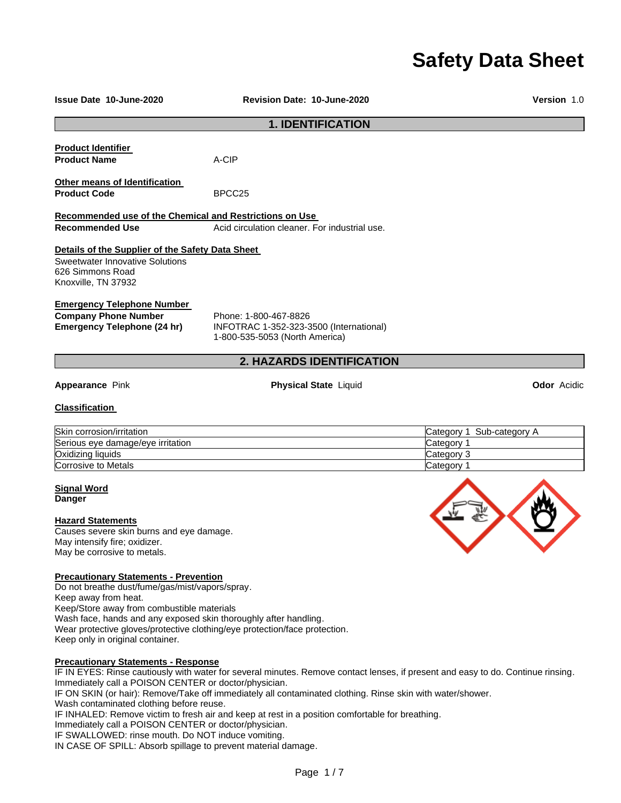# **Safety Data Sheet**

| <b>Issue Date 10-June-2020</b>                                                             | <b>Revision Date: 10-June-2020</b>                                                                                               | <b>Version 1.0</b>        |
|--------------------------------------------------------------------------------------------|----------------------------------------------------------------------------------------------------------------------------------|---------------------------|
|                                                                                            | <b>1. IDENTIFICATION</b>                                                                                                         |                           |
| <b>Product Identifier</b>                                                                  |                                                                                                                                  |                           |
| <b>Product Name</b>                                                                        | A-CIP                                                                                                                            |                           |
| <b>Other means of Identification</b>                                                       |                                                                                                                                  |                           |
| <b>Product Code</b>                                                                        | BPCC <sub>25</sub>                                                                                                               |                           |
| Recommended use of the Chemical and Restrictions on Use                                    |                                                                                                                                  |                           |
| <b>Recommended Use</b>                                                                     | Acid circulation cleaner. For industrial use.                                                                                    |                           |
|                                                                                            |                                                                                                                                  |                           |
| Details of the Supplier of the Safety Data Sheet<br><b>Sweetwater Innovative Solutions</b> |                                                                                                                                  |                           |
| 626 Simmons Road                                                                           |                                                                                                                                  |                           |
| Knoxville, TN 37932                                                                        |                                                                                                                                  |                           |
| <b>Emergency Telephone Number</b>                                                          |                                                                                                                                  |                           |
| <b>Company Phone Number</b>                                                                | Phone: 1-800-467-8826                                                                                                            |                           |
| <b>Emergency Telephone (24 hr)</b>                                                         | INFOTRAC 1-352-323-3500 (International)                                                                                          |                           |
|                                                                                            | 1-800-535-5053 (North America)                                                                                                   |                           |
|                                                                                            | 2. HAZARDS IDENTIFICATION                                                                                                        |                           |
|                                                                                            |                                                                                                                                  |                           |
| Appearance Pink                                                                            | <b>Physical State Liquid</b>                                                                                                     | <b>Odor</b> Acidic        |
| <b>Classification</b>                                                                      |                                                                                                                                  |                           |
| Skin corrosion/irritation                                                                  |                                                                                                                                  | Category 1 Sub-category A |
| Serious eye damage/eye irritation                                                          |                                                                                                                                  | Category 1                |
| Oxidizing liquids                                                                          |                                                                                                                                  | Category 3                |
| Corrosive to Metals                                                                        |                                                                                                                                  | Category 1                |
| <b>Signal Word</b>                                                                         |                                                                                                                                  |                           |
| <b>Danger</b>                                                                              |                                                                                                                                  |                           |
| <b>Hazard Statements</b>                                                                   |                                                                                                                                  |                           |
| Causes severe skin burns and eye damage.                                                   |                                                                                                                                  |                           |
| May intensify fire; oxidizer.                                                              |                                                                                                                                  |                           |
| May be corrosive to metals.                                                                |                                                                                                                                  |                           |
| <b>Precautionary Statements - Prevention</b>                                               |                                                                                                                                  |                           |
| Do not breathe dust/fume/gas/mist/vapors/spray.                                            |                                                                                                                                  |                           |
| Keep away from heat.                                                                       |                                                                                                                                  |                           |
| Keep/Store away from combustible materials                                                 |                                                                                                                                  |                           |
| Wash face, hands and any exposed skin thoroughly after handling.                           |                                                                                                                                  |                           |
|                                                                                            | Wear protective gloves/protective clothing/eye protection/face protection.                                                       |                           |
| Keep only in original container.                                                           |                                                                                                                                  |                           |
| <b>Precautionary Statements - Response</b>                                                 |                                                                                                                                  |                           |
|                                                                                            | IF IN EYES: Rinse cautiously with water for several minutes. Remove contact lenses, if present and easy to do. Continue rinsing. |                           |

Immediately call a POISON CENTER or doctor/physician. IF ON SKIN (or hair): Remove/Take off immediately all contaminated clothing. Rinse skin with water/shower. Wash contaminated clothing before reuse. IF INHALED: Remove victim to fresh air and keep at rest in a position comfortable for breathing. Immediately call a POISON CENTER or doctor/physician. IF SWALLOWED: rinse mouth. Do NOT induce vomiting. IN CASE OF SPILL: Absorb spillage to prevent material damage.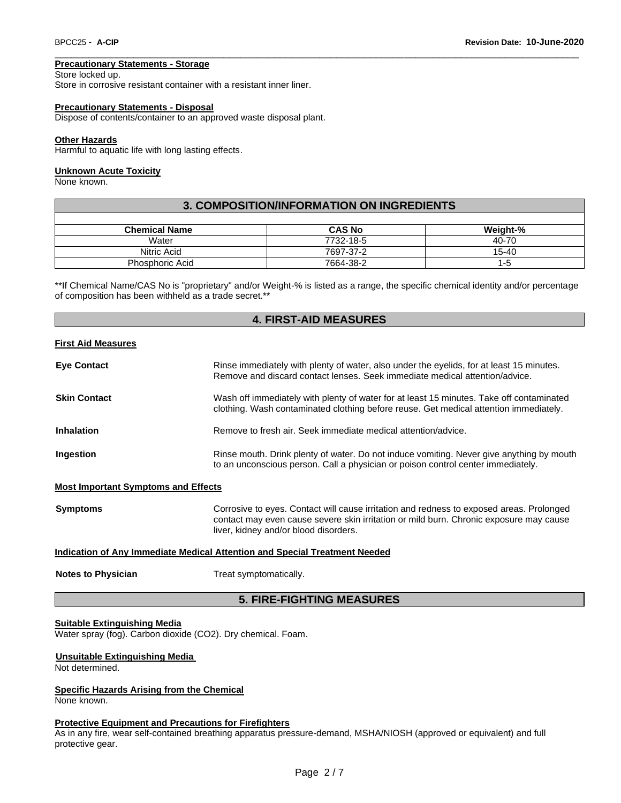#### **Precautionary Statements - Storage**

Store locked up.

Store in corrosive resistant container with a resistant inner liner.

#### **Precautionary Statements - Disposal**

Dispose of contents/container to an approved waste disposal plant.

#### **Other Hazards**

Harmful to aquatic life with long lasting effects.

#### **Unknown Acute Toxicity**

None known.

| 3. COMPOSITION/INFORMATION ON INGREDIENTS |               |           |  |  |
|-------------------------------------------|---------------|-----------|--|--|
|                                           |               |           |  |  |
| <b>Chemical Name</b>                      | <b>CAS No</b> | Weight-%  |  |  |
| Water                                     | 7732-18-5     | 40-70     |  |  |
| Nitric Acid                               | 7697-37-2     | $15 - 40$ |  |  |
| <b>Phosphoric Acid</b>                    | 7664-38-2     | $1 - 5$   |  |  |

\_\_\_\_\_\_\_\_\_\_\_\_\_\_\_\_\_\_\_\_\_\_\_\_\_\_\_\_\_\_\_\_\_\_\_\_\_\_\_\_\_\_\_\_\_\_\_\_\_\_\_\_\_\_\_\_\_\_\_\_\_\_\_\_\_\_\_\_\_\_\_\_\_\_\_\_\_\_\_\_\_\_\_\_\_\_\_\_\_\_\_\_\_

\*\*If Chemical Name/CAS No is "proprietary" and/or Weight-% is listed as a range, the specific chemical identity and/or percentage of composition has been withheld as a trade secret.\*\*

#### **4. FIRST-AID MEASURES**

#### **First Aid Measures**

| <b>Eve Contact</b>  | Rinse immediately with plenty of water, also under the eyelids, for at least 15 minutes.<br>Remove and discard contact lenses. Seek immediate medical attention/advice.           |
|---------------------|-----------------------------------------------------------------------------------------------------------------------------------------------------------------------------------|
| <b>Skin Contact</b> | Wash off immediately with plenty of water for at least 15 minutes. Take off contaminated<br>clothing. Wash contaminated clothing before reuse. Get medical attention immediately. |
| <b>Inhalation</b>   | Remove to fresh air. Seek immediate medical attention/advice.                                                                                                                     |
| Ingestion           | Rinse mouth. Drink plenty of water. Do not induce vomiting. Never give anything by mouth<br>to an unconscious person. Call a physician or poison control center immediately.      |

#### **Most Important Symptoms and Effects**

**Symptoms Corrosive to eyes. Contact will cause irritation and redness to exposed areas. Prolonged** 

contact may even cause severe skin irritation or mild burn. Chronic exposure may cause liver, kidney and/or blood disorders.

### **Indication of Any Immediate Medical Attention and Special Treatment Needed**

**Notes to Physician Treat symptomatically.** 

#### **5. FIRE-FIGHTING MEASURES**

#### **Suitable Extinguishing Media**

Water spray (fog). Carbon dioxide (CO2). Dry chemical. Foam.

#### **Unsuitable Extinguishing Media**

Not determined.

### **Specific Hazards Arising from the Chemical**

None known.

#### **Protective Equipment and Precautions for Firefighters**

As in any fire, wear self-contained breathing apparatus pressure-demand, MSHA/NIOSH (approved or equivalent) and full protective gear.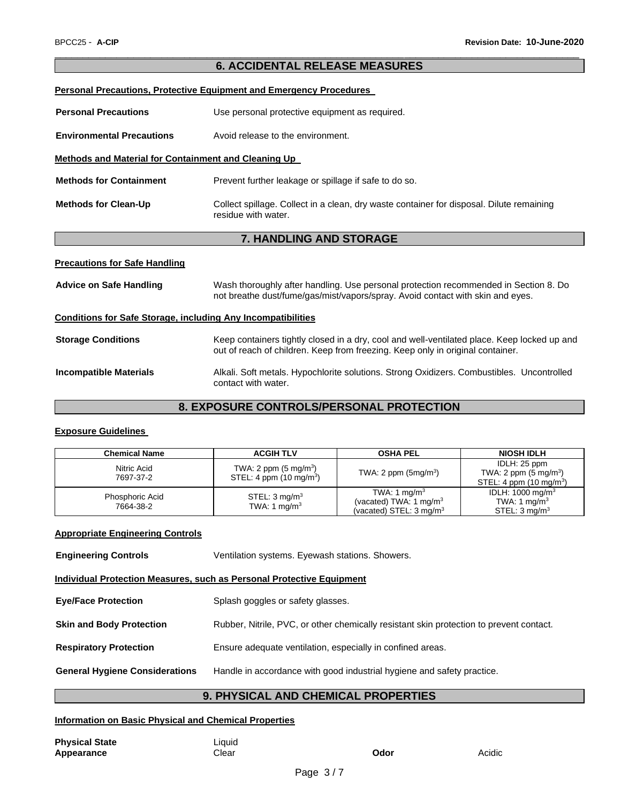# **6. ACCIDENTAL RELEASE MEASURES Personal Precautions, Protective Equipment and Emergency Procedures Personal Precautions Use personal protective equipment as required. Environmental Precautions** Avoid release to the environment. **Methods and Material for Containment and Cleaning Up Methods for Containment** Prevent further leakage or spillage if safe to do so. **Methods for Clean-Up** Collect spillage. Collect in a clean, dry waste container for disposal. Dilute remaining residue with water. **7. HANDLING AND STORAGE Precautions for Safe Handling Advice on Safe Handling** Wash thoroughly after handling. Use personal protection recommended in Section 8. Do not breathe dust/fume/gas/mist/vapors/spray. Avoid contact with skin and eyes.

\_\_\_\_\_\_\_\_\_\_\_\_\_\_\_\_\_\_\_\_\_\_\_\_\_\_\_\_\_\_\_\_\_\_\_\_\_\_\_\_\_\_\_\_\_\_\_\_\_\_\_\_\_\_\_\_\_\_\_\_\_\_\_\_\_\_\_\_\_\_\_\_\_\_\_\_\_\_\_\_\_\_\_\_\_\_\_\_\_\_\_\_\_

# **Conditions for Safe Storage, including Any Incompatibilities Storage Conditions** Keep containers tightly closed in a dry, cool and well-ventilated place. Keep locked up and out of reach of children. Keep from freezing. Keep only in original container. **Incompatible Materials** Alkali. Soft metals. Hypochlorite solutions. Strong Oxidizers. Combustibles. Uncontrolled contact with water.

# **8. EXPOSURE CONTROLS/PERSONAL PROTECTION**

# **Exposure Guidelines**

| <b>Chemical Name</b>         | <b>ACGIH TLV</b>                                                       | <b>OSHA PEL</b>                                                                                      | <b>NIOSH IDLH</b>                                                                     |
|------------------------------|------------------------------------------------------------------------|------------------------------------------------------------------------------------------------------|---------------------------------------------------------------------------------------|
| Nitric Acid<br>7697-37-2     | TWA: 2 ppm $(5 \text{ mg/m}^3)$<br>STEL: 4 ppm (10 mg/m <sup>3</sup> ) | TWA: 2 ppm $(5mg/m3)$                                                                                | IDLH: 25 ppm<br>TWA: 2 ppm $(5 \text{ mg/m}^3)$<br>STEL: 4 ppm $(10 \text{ mg/m}^3)$  |
| Phosphoric Acid<br>7664-38-2 | STEL: $3 \text{ mg/m}^3$<br>TWA: 1 mg/m <sup>3</sup>                   | TWA: 1 mg/m <sup>3</sup><br>(vacated) TWA: 1 mg/m <sup>3</sup><br>(vacated) STEL: $3 \text{ mg/m}^3$ | IDLH: 1000 mg/m <sup>3</sup><br>TWA: 1 mg/m <sup>3</sup><br>STEL: 3 ma/m <sup>3</sup> |

# **Appropriate Engineering Controls**

| <b>Engineering Controls</b>                                                  | Ventilation systems. Eyewash stations. Showers.                                         |  |  |
|------------------------------------------------------------------------------|-----------------------------------------------------------------------------------------|--|--|
| <b>Individual Protection Measures, such as Personal Protective Equipment</b> |                                                                                         |  |  |
| <b>Eye/Face Protection</b>                                                   | Splash goggles or safety glasses.                                                       |  |  |
| <b>Skin and Body Protection</b>                                              | Rubber, Nitrile, PVC, or other chemically resistant skin protection to prevent contact. |  |  |
| <b>Respiratory Protection</b>                                                | Ensure adequate ventilation, especially in confined areas.                              |  |  |
| <b>General Hygiene Considerations</b>                                        | Handle in accordance with good industrial hygiene and safety practice.                  |  |  |
|                                                                              |                                                                                         |  |  |

# **9. PHYSICAL AND CHEMICAL PROPERTIES**

# **Information on Basic Physical and Chemical Properties**

**Physical State Liquid**<br> **Appearance Liquid Appearance Appearance Clear Clear <b>Odor Odor** Acidic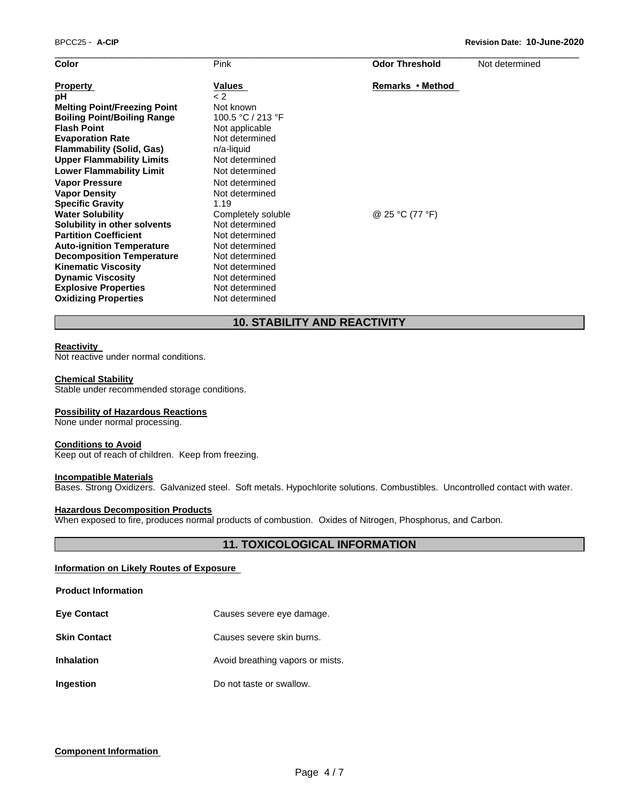| Color                               | Pink               | <b>Odor Threshold</b> | Not determined |
|-------------------------------------|--------------------|-----------------------|----------------|
| <b>Property</b>                     | Values             | Remarks • Method      |                |
| pH                                  | $\lt$ 2            |                       |                |
| <b>Melting Point/Freezing Point</b> | Not known          |                       |                |
| <b>Boiling Point/Boiling Range</b>  | 100.5 °C / 213 °F  |                       |                |
| <b>Flash Point</b>                  | Not applicable     |                       |                |
| <b>Evaporation Rate</b>             | Not determined     |                       |                |
| <b>Flammability (Solid, Gas)</b>    | n/a-liquid         |                       |                |
| <b>Upper Flammability Limits</b>    | Not determined     |                       |                |
| <b>Lower Flammability Limit</b>     | Not determined     |                       |                |
| <b>Vapor Pressure</b>               | Not determined     |                       |                |
| <b>Vapor Density</b>                | Not determined     |                       |                |
| <b>Specific Gravity</b>             | 1.19               |                       |                |
| <b>Water Solubility</b>             | Completely soluble | @ 25 °C (77 °F)       |                |
| Solubility in other solvents        | Not determined     |                       |                |
| <b>Partition Coefficient</b>        | Not determined     |                       |                |
| <b>Auto-ignition Temperature</b>    | Not determined     |                       |                |
| <b>Decomposition Temperature</b>    | Not determined     |                       |                |
| <b>Kinematic Viscosity</b>          | Not determined     |                       |                |
| <b>Dynamic Viscosity</b>            | Not determined     |                       |                |
| <b>Explosive Properties</b>         | Not determined     |                       |                |
| <b>Oxidizing Properties</b>         | Not determined     |                       |                |
|                                     |                    |                       |                |

# **10. STABILITY AND REACTIVITY**

#### **Reactivity**

Not reactive under normal conditions.

#### **Chemical Stability**

Stable under recommended storage conditions.

#### **Possibility of Hazardous Reactions**

None under normal processing.

#### **Conditions to Avoid**

Keep out of reach of children. Keep from freezing.

#### **Incompatible Materials**

Bases. Strong Oxidizers. Galvanized steel. Soft metals. Hypochlorite solutions. Combustibles. Uncontrolled contact with water.

#### **Hazardous Decomposition Products**

When exposed to fire, produces normal products of combustion. Oxides of Nitrogen, Phosphorus, and Carbon.

## **11. TOXICOLOGICAL INFORMATION**

#### **Information on Likely Routes of Exposure**

**Product Information** 

| <b>Eve Contact</b>  | Causes severe eye damage.        |
|---------------------|----------------------------------|
| <b>Skin Contact</b> | Causes severe skin burns.        |
| <b>Inhalation</b>   | Avoid breathing vapors or mists. |
| Ingestion           | Do not taste or swallow.         |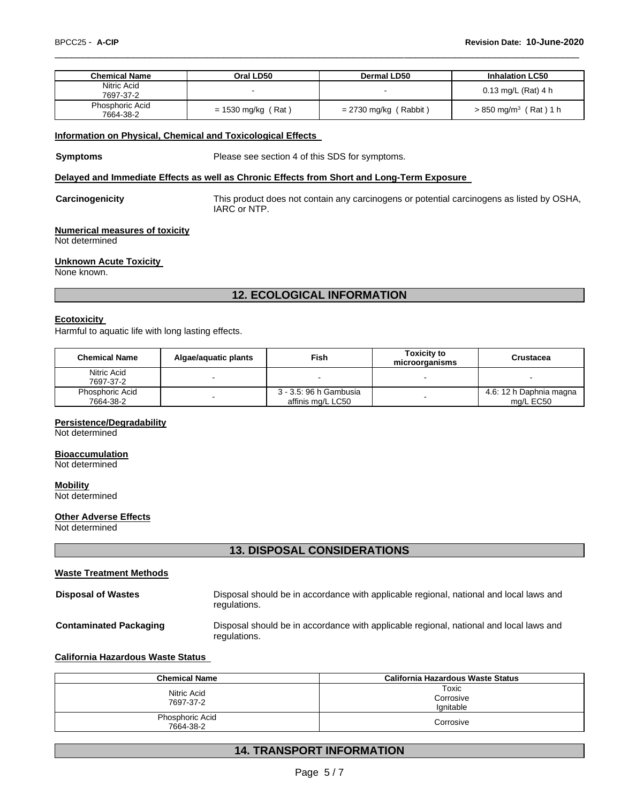| <b>Chemical Name</b>         | Oral LD50            | Dermal LD50             | <b>Inhalation LC50</b>              |
|------------------------------|----------------------|-------------------------|-------------------------------------|
| Nitric Acid<br>7697-37-2     |                      |                         | 0.13 mg/L (Rat) 4 h                 |
| Phosphoric Acid<br>7664-38-2 | $= 1530$ mg/kg (Rat) | $= 2730$ mg/kg (Rabbit) | $> 850$ mg/m <sup>3</sup> (Rat) 1 h |

\_\_\_\_\_\_\_\_\_\_\_\_\_\_\_\_\_\_\_\_\_\_\_\_\_\_\_\_\_\_\_\_\_\_\_\_\_\_\_\_\_\_\_\_\_\_\_\_\_\_\_\_\_\_\_\_\_\_\_\_\_\_\_\_\_\_\_\_\_\_\_\_\_\_\_\_\_\_\_\_\_\_\_\_\_\_\_\_\_\_\_\_\_

#### **Information on Physical, Chemical and Toxicological Effects**

**Symptoms** Please see section 4 of this SDS for symptoms.

#### **Delayed and Immediate Effects as well as Chronic Effects from Short and Long-Term Exposure**

**Carcinogenicity** This product does not contain any carcinogens or potential carcinogens as listed by OSHA, IARC or NTP.

#### **Numerical measures of toxicity**

Not determined

#### **Unknown Acute Toxicity**

None known.

# **12. ECOLOGICAL INFORMATION**

#### **Ecotoxicity**

Harmful to aquatic life with long lasting effects.

| <b>Chemical Name</b>         | Algae/aguatic plants | Fish                                        | <b>Toxicity to</b><br>microorganisms | Crustacea                            |
|------------------------------|----------------------|---------------------------------------------|--------------------------------------|--------------------------------------|
| Nitric Acid<br>7697-37-2     |                      |                                             |                                      |                                      |
| Phosphoric Acid<br>7664-38-2 | -                    | 3 - 3.5: 96 h Gambusia<br>affinis mg/L LC50 |                                      | 4.6: 12 h Daphnia magna<br>ma/L EC50 |

#### **Persistence/Degradability**

Not determined

#### **Bioaccumulation**

Not determined

# **Mobility**

Not determined

### **Other Adverse Effects**

Not determined

### **13. DISPOSAL CONSIDERATIONS**

| <b>Waste Treatment Methods</b> |                                                                                                        |
|--------------------------------|--------------------------------------------------------------------------------------------------------|
| <b>Disposal of Wastes</b>      | Disposal should be in accordance with applicable regional, national and local laws and<br>regulations. |
| <b>Contaminated Packaging</b>  | Disposal should be in accordance with applicable regional, national and local laws and<br>regulations. |

### **California Hazardous Waste Status**

| <b>Chemical Name</b>         | <b>California Hazardous Waste Status</b> |
|------------------------------|------------------------------------------|
| Nitric Acid<br>7697-37-2     | Toxic<br>Corrosive<br>lanitable          |
| Phosphoric Acid<br>7664-38-2 | Corrosive                                |

# **14. TRANSPORT INFORMATION**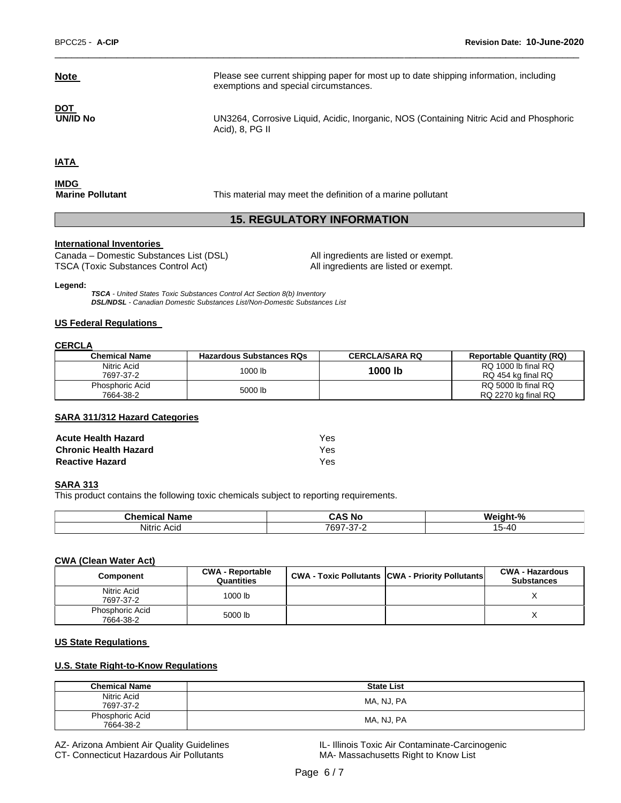DOT<br>UN/ID No

**Note Please see current shipping paper for most up to date shipping information, including** exemptions and special circumstances.

> UN3264, Corrosive Liquid, Acidic, Inorganic, NOS (Containing Nitric Acid and Phosphoric Acid), 8, PG II

**IATA** 

**IMDG**<br>Marine Pollutant

**Marine Pollutant** This material may meet the definition of a marine pollutant

# **15. REGULATORY INFORMATION**

\_\_\_\_\_\_\_\_\_\_\_\_\_\_\_\_\_\_\_\_\_\_\_\_\_\_\_\_\_\_\_\_\_\_\_\_\_\_\_\_\_\_\_\_\_\_\_\_\_\_\_\_\_\_\_\_\_\_\_\_\_\_\_\_\_\_\_\_\_\_\_\_\_\_\_\_\_\_\_\_\_\_\_\_\_\_\_\_\_\_\_\_\_

#### **International Inventories**

Canada – Domestic Substances List (DSL) All ingredients are listed or exempt. TSCA (Toxic Substances Control Act) All ingredients are listed or exempt.

#### **Legend:**

*TSCA - United States Toxic Substances Control Act Section 8(b) Inventory DSL/NDSL - Canadian Domestic Substances List/Non-Domestic Substances List*

#### **US Federal Regulations**

#### **CERCLA**

| <b>Chemical Name</b>         | <b>Hazardous Substances RQs</b> | <b>CERCLA/SARA RQ</b> | <b>Reportable Quantity (RQ)</b>            |
|------------------------------|---------------------------------|-----------------------|--------------------------------------------|
| Nitric Acid<br>7697-37-2     | 1000 lb                         | 1000 lb               | RQ 1000 lb final RQ<br>RQ 454 kg final RQ  |
| Phosphoric Acid<br>7664-38-2 | 5000 lb                         |                       | RQ 5000 lb final RQ<br>RQ 2270 kg final RQ |

#### **SARA 311/312 Hazard Categories**

| <b>Acute Health Hazard</b>   | Yes. |
|------------------------------|------|
| <b>Chronic Health Hazard</b> | Yes. |
| <b>Reactive Hazard</b>       | Yes. |

#### **SARA 313**

This product contains the following toxic chemicals subject to reporting requirements.

| Chemical<br>Name    | ∶Δ<br><b>NC</b><br>÷<br>,,,,                  | $\mathbf{a}$<br>W.<br>. н.<br>70 |
|---------------------|-----------------------------------------------|----------------------------------|
| .<br>Nitric<br>Acic | 7697<br>$\overline{\phantom{a}}$<br>٠.,<br>-- | -<br>5-40<br>$\cdot$             |

#### **CWA (Clean Water Act)**

| Component                    | <b>CWA - Reportable</b><br>Quantities | <b>CWA - Toxic Pollutants CWA - Priority Pollutants</b> | <b>CWA - Hazardous</b><br><b>Substances</b> |
|------------------------------|---------------------------------------|---------------------------------------------------------|---------------------------------------------|
| Nitric Acid<br>7697-37-2     | 1000 lb                               |                                                         |                                             |
| Phosphoric Acid<br>7664-38-2 | 5000 lb                               |                                                         | ∧                                           |

#### **US State Regulations**

#### **U.S. State Right-to-Know Regulations**

| <b>Chemical Name</b>         | <b>State List</b> |
|------------------------------|-------------------|
| Nitric Acid<br>7697-37-2     | MA, NJ, PA        |
| Phosphoric Acid<br>7664-38-2 | MA, NJ, PA        |

AZ- Arizona Ambient Air Quality Guidelines **IL- Illinois Toxic Air Contaminate-Carcinogenic** CT- Connecticut Hazardous Air Pollutants MA-Massachusetts Right to Know List